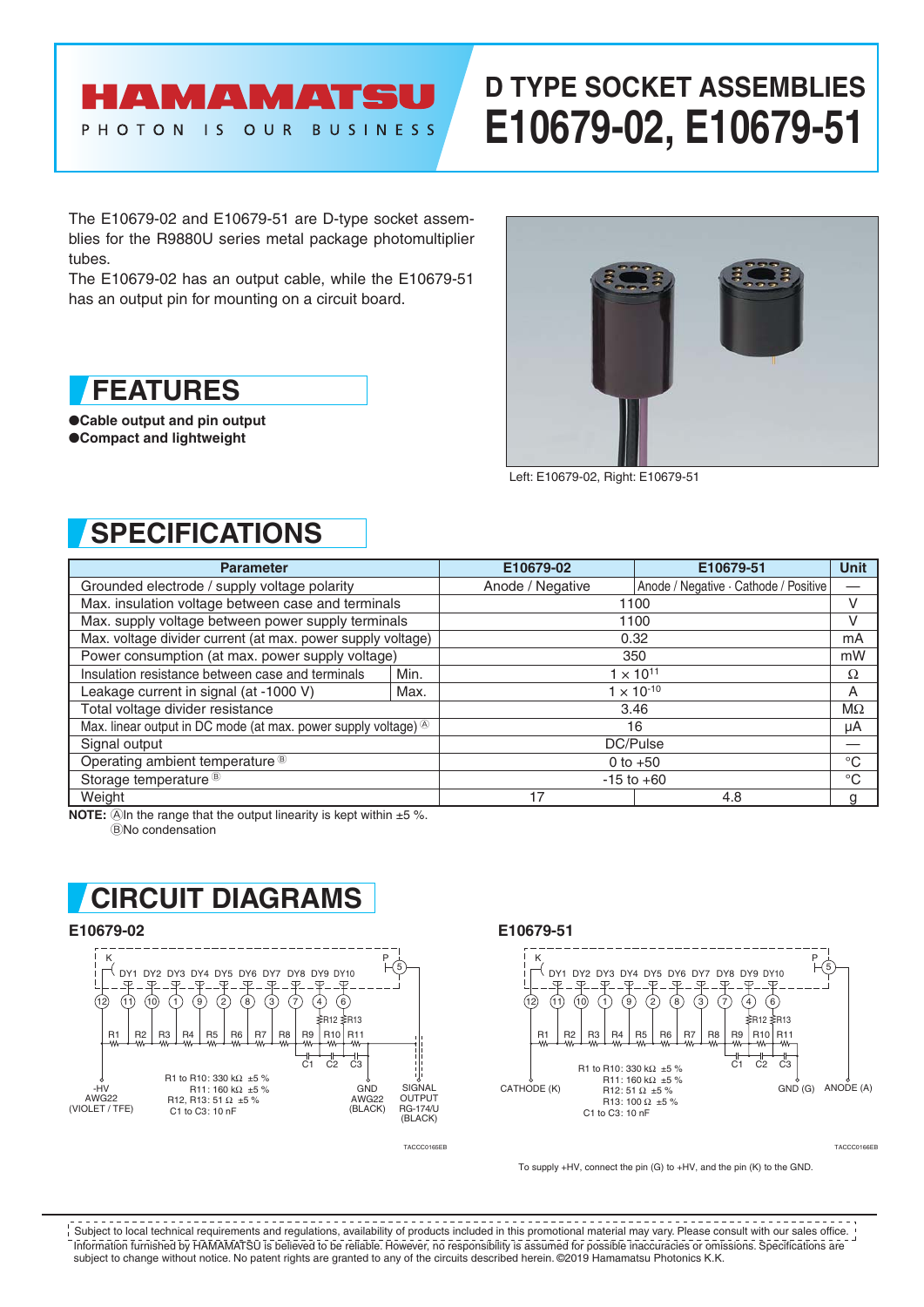# **AMAMATS**

PHOTON IS OUR

**BUSINESS** 

# **D TYPE SOCKET ASSEMBLIES E10679-02, E10679-51**

The E10679-02 and E10679-51 are D-type socket assemblies for the R9880U series metal package photomultiplier tubes.

The E10679-02 has an output cable, while the E10679-51 has an output pin for mounting on a circuit board.

## **FEATURES**

●**Cable output and pin output** ●**Compact and lightweight**



Left: E10679-02, Right: E10679-51

## **SPECIFICATIONS**

| <b>Parameter</b>                                                            |      | E10679-02          | E10679-51                             | <b>Unit</b> |
|-----------------------------------------------------------------------------|------|--------------------|---------------------------------------|-------------|
| Grounded electrode / supply voltage polarity                                |      | Anode / Negative   | Anode / Negative · Cathode / Positive |             |
| Max. insulation voltage between case and terminals                          |      | 1100               |                                       | V           |
| Max. supply voltage between power supply terminals                          |      | 1100               |                                       | V           |
| Max. voltage divider current (at max. power supply voltage)                 |      | 0.32               |                                       | mA          |
| Power consumption (at max. power supply voltage)                            |      | 350                |                                       | mW          |
| Insulation resistance between case and terminals                            | Min. | $1 \times 10^{11}$ |                                       | Ω           |
| Leakage current in signal (at -1000 V)                                      | Max. |                    | $1 \times 10^{-10}$                   | A           |
| Total voltage divider resistance                                            |      | 3.46               |                                       | $M\Omega$   |
| Max. linear output in DC mode (at max. power supply voltage) <sup>(8)</sup> |      | 16                 |                                       | μA          |
| Signal output                                                               |      | DC/Pulse           |                                       |             |
| Operating ambient temperature ®                                             |      | 0 to $+50$         |                                       | $^{\circ}C$ |
| Storage temperature <sup>®</sup>                                            |      | $-15$ to $+60$     |                                       | $^{\circ}C$ |
| Weight                                                                      |      | 17                 | 4.8                                   | g           |

**NOTE:**  $\widehat{A}$ In the range that the output linearity is kept within  $\pm 5$  %. BNo condensation

## **CIRCUIT DIAGRAMS**

### **E10679-02 E10679-51**



TACCC0165EB TACCC0166EB



To supply +HV, connect the pin (G) to +HV, and the pin (K) to the GND.

Information furnished by HAMAMATSU is believed to be reliable. However, no responsibility is assumed for possible inaccuracies or omissions. Specifications are subject to change without notice. No patent rights are granted to any of the circuits described herein. ©2019 Hamamatsu Photonics K.K. Subject to local technical requirements and regulations, availability of products included in this promotional material may vary. Please consult with our sales office.